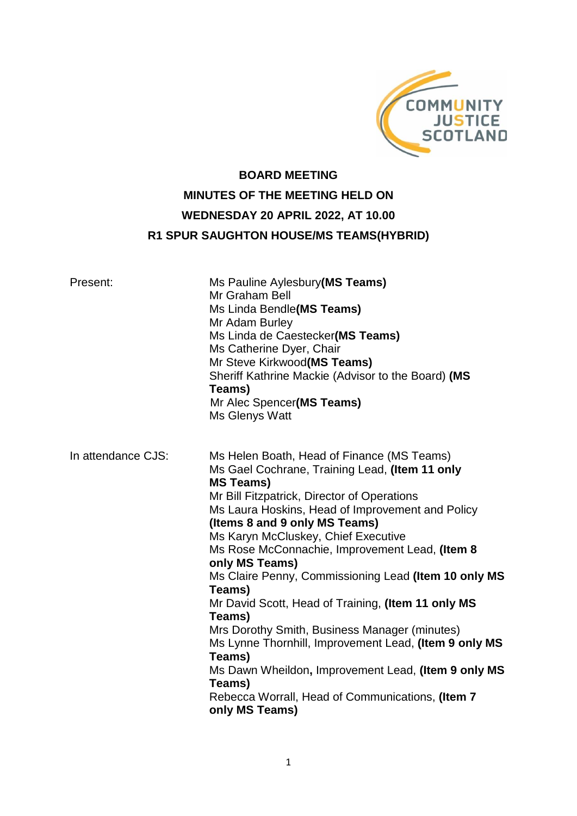

# **BOARD MEETING MINUTES OF THE MEETING HELD ON WEDNESDAY 20 APRIL 2022, AT 10.00 R1 SPUR SAUGHTON HOUSE/MS TEAMS(HYBRID)**

| Present:           | Ms Pauline Aylesbury(MS Teams)<br>Mr Graham Bell<br>Ms Linda Bendle(MS Teams)<br>Mr Adam Burley<br>Ms Linda de Caestecker(MS Teams)<br>Ms Catherine Dyer, Chair<br>Mr Steve Kirkwood(MS Teams)<br>Sheriff Kathrine Mackie (Advisor to the Board) (MS<br>Teams)<br>Mr Alec Spencer(MS Teams)<br>Ms Glenys Watt                                                                                                                                                                                                                                                                                                                                                                                                                                                |
|--------------------|--------------------------------------------------------------------------------------------------------------------------------------------------------------------------------------------------------------------------------------------------------------------------------------------------------------------------------------------------------------------------------------------------------------------------------------------------------------------------------------------------------------------------------------------------------------------------------------------------------------------------------------------------------------------------------------------------------------------------------------------------------------|
| In attendance CJS: | Ms Helen Boath, Head of Finance (MS Teams)<br>Ms Gael Cochrane, Training Lead, (Item 11 only<br><b>MS Teams)</b><br>Mr Bill Fitzpatrick, Director of Operations<br>Ms Laura Hoskins, Head of Improvement and Policy<br>(Items 8 and 9 only MS Teams)<br>Ms Karyn McCluskey, Chief Executive<br>Ms Rose McConnachie, Improvement Lead, (Item 8<br>only MS Teams)<br>Ms Claire Penny, Commissioning Lead (Item 10 only MS<br>Teams)<br>Mr David Scott, Head of Training, (Item 11 only MS<br>Teams)<br>Mrs Dorothy Smith, Business Manager (minutes)<br>Ms Lynne Thornhill, Improvement Lead, (Item 9 only MS<br>Teams)<br>Ms Dawn Wheildon, Improvement Lead, (Item 9 only MS<br>Teams)<br>Rebecca Worrall, Head of Communications, (Item 7<br>only MS Teams) |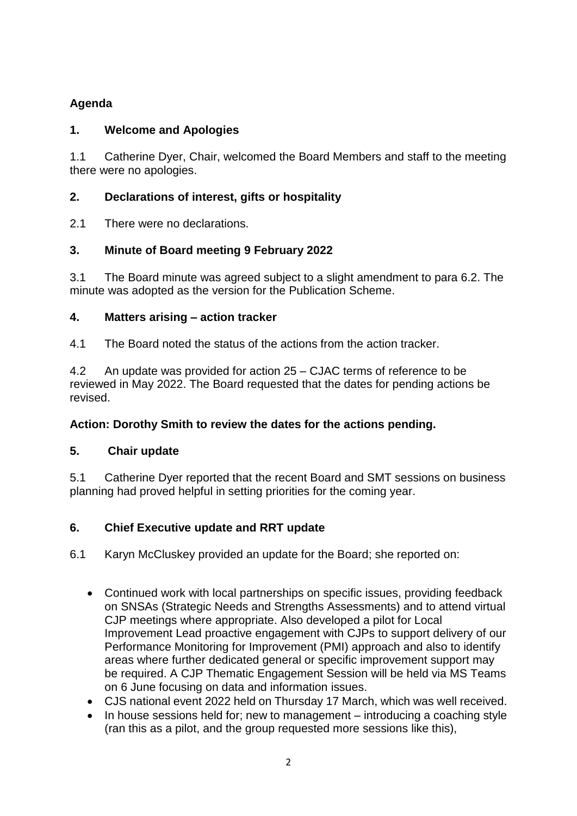# **Agenda**

# **1. Welcome and Apologies**

1.1 Catherine Dyer, Chair, welcomed the Board Members and staff to the meeting there were no apologies.

# **2. Declarations of interest, gifts or hospitality**

2.1 There were no declarations.

# **3. Minute of Board meeting 9 February 2022**

3.1 The Board minute was agreed subject to a slight amendment to para 6.2. The minute was adopted as the version for the Publication Scheme.

# **4. Matters arising – action tracker**

4.1 The Board noted the status of the actions from the action tracker.

4.2 An update was provided for action 25 – CJAC terms of reference to be reviewed in May 2022. The Board requested that the dates for pending actions be revised.

# **Action: Dorothy Smith to review the dates for the actions pending.**

# **5. Chair update**

5.1 Catherine Dyer reported that the recent Board and SMT sessions on business planning had proved helpful in setting priorities for the coming year.

# **6. Chief Executive update and RRT update**

6.1 Karyn McCluskey provided an update for the Board; she reported on:

- Continued work with local partnerships on specific issues, providing feedback on SNSAs (Strategic Needs and Strengths Assessments) and to attend virtual CJP meetings where appropriate. Also developed a pilot for Local Improvement Lead proactive engagement with CJPs to support delivery of our Performance Monitoring for Improvement (PMI) approach and also to identify areas where further dedicated general or specific improvement support may be required. A CJP Thematic Engagement Session will be held via MS Teams on 6 June focusing on data and information issues.
- CJS national event 2022 held on Thursday 17 March, which was well received.
- In house sessions held for; new to management introducing a coaching style (ran this as a pilot, and the group requested more sessions like this),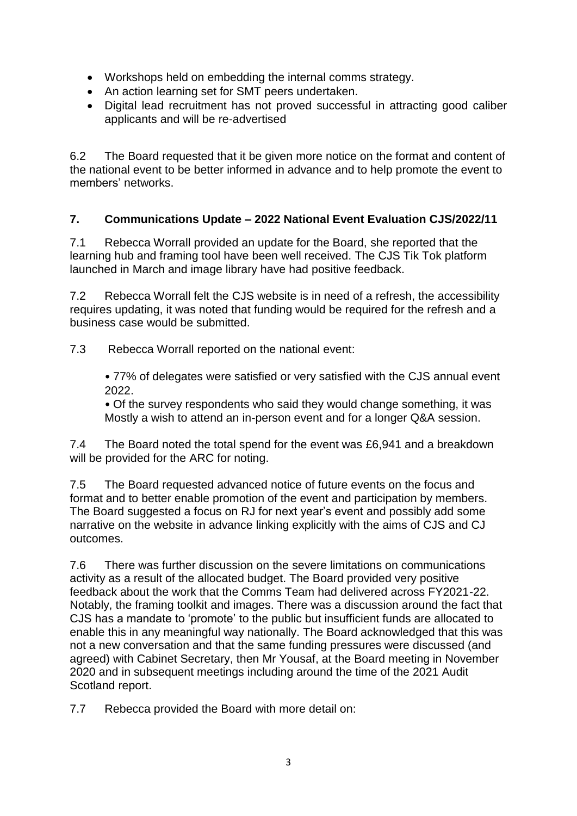- Workshops held on embedding the internal comms strategy.
- An action learning set for SMT peers undertaken.
- Digital lead recruitment has not proved successful in attracting good caliber applicants and will be re-advertised

6.2 The Board requested that it be given more notice on the format and content of the national event to be better informed in advance and to help promote the event to members' networks.

# **7. Communications Update – 2022 National Event Evaluation CJS/2022/11**

7.1 Rebecca Worrall provided an update for the Board, she reported that the learning hub and framing tool have been well received. The CJS Tik Tok platform launched in March and image library have had positive feedback.

7.2 Rebecca Worrall felt the CJS website is in need of a refresh, the accessibility requires updating, it was noted that funding would be required for the refresh and a business case would be submitted.

7.3 Rebecca Worrall reported on the national event:

• 77% of delegates were satisfied or very satisfied with the CJS annual event 2022.

• Of the survey respondents who said they would change something, it was Mostly a wish to attend an in-person event and for a longer Q&A session.

7.4 The Board noted the total spend for the event was £6,941 and a breakdown will be provided for the ARC for noting.

7.5 The Board requested advanced notice of future events on the focus and format and to better enable promotion of the event and participation by members. The Board suggested a focus on RJ for next year's event and possibly add some narrative on the website in advance linking explicitly with the aims of CJS and CJ outcomes.

7.6 There was further discussion on the severe limitations on communications activity as a result of the allocated budget. The Board provided very positive feedback about the work that the Comms Team had delivered across FY2021-22. Notably, the framing toolkit and images. There was a discussion around the fact that CJS has a mandate to 'promote' to the public but insufficient funds are allocated to enable this in any meaningful way nationally. The Board acknowledged that this was not a new conversation and that the same funding pressures were discussed (and agreed) with Cabinet Secretary, then Mr Yousaf, at the Board meeting in November 2020 and in subsequent meetings including around the time of the 2021 Audit Scotland report.

7.7 Rebecca provided the Board with more detail on: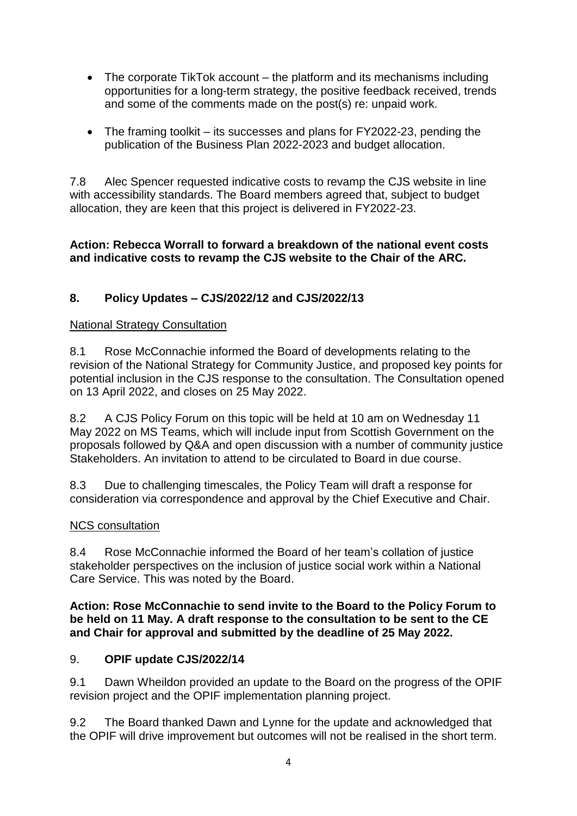- The corporate TikTok account the platform and its mechanisms including opportunities for a long-term strategy, the positive feedback received, trends and some of the comments made on the post(s) re: unpaid work.
- The framing toolkit its successes and plans for FY2022-23, pending the publication of the Business Plan 2022-2023 and budget allocation.

7.8 Alec Spencer requested indicative costs to revamp the CJS website in line with accessibility standards. The Board members agreed that, subject to budget allocation, they are keen that this project is delivered in FY2022-23.

# **Action: Rebecca Worrall to forward a breakdown of the national event costs and indicative costs to revamp the CJS website to the Chair of the ARC.**

# **8. Policy Updates – CJS/2022/12 and CJS/2022/13**

# National Strategy Consultation

8.1 Rose McConnachie informed the Board of developments relating to the revision of the National Strategy for Community Justice, and proposed key points for potential inclusion in the CJS response to the consultation. The Consultation opened on 13 April 2022, and closes on 25 May 2022.

8.2 A CJS Policy Forum on this topic will be held at 10 am on Wednesday 11 May 2022 on MS Teams, which will include input from Scottish Government on the proposals followed by Q&A and open discussion with a number of community justice Stakeholders. An invitation to attend to be circulated to Board in due course.

8.3 Due to challenging timescales, the Policy Team will draft a response for consideration via correspondence and approval by the Chief Executive and Chair.

# NCS consultation

8.4 Rose McConnachie informed the Board of her team's collation of justice stakeholder perspectives on the inclusion of justice social work within a National Care Service. This was noted by the Board.

#### **Action: Rose McConnachie to send invite to the Board to the Policy Forum to be held on 11 May. A draft response to the consultation to be sent to the CE and Chair for approval and submitted by the deadline of 25 May 2022.**

# 9. **OPIF update CJS/2022/14**

9.1 Dawn Wheildon provided an update to the Board on the progress of the OPIF revision project and the OPIF implementation planning project.

9.2 The Board thanked Dawn and Lynne for the update and acknowledged that the OPIF will drive improvement but outcomes will not be realised in the short term.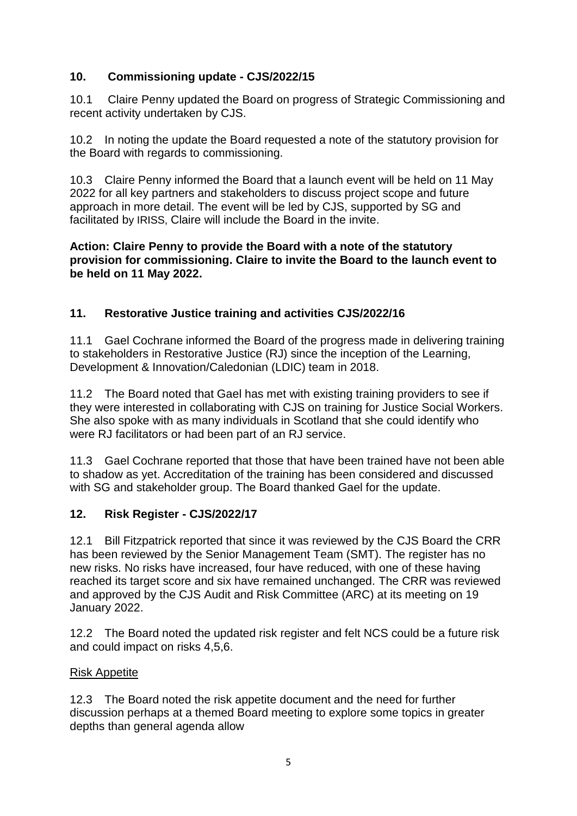# **10. Commissioning update - CJS/2022/15**

10.1 Claire Penny updated the Board on progress of Strategic Commissioning and recent activity undertaken by CJS.

10.2 In noting the update the Board requested a note of the statutory provision for the Board with regards to commissioning.

10.3 Claire Penny informed the Board that a launch event will be held on 11 May 2022 for all key partners and stakeholders to discuss project scope and future approach in more detail. The event will be led by CJS, supported by SG and facilitated by IRISS, Claire will include the Board in the invite.

#### **Action: Claire Penny to provide the Board with a note of the statutory provision for commissioning. Claire to invite the Board to the launch event to be held on 11 May 2022.**

# **11. Restorative Justice training and activities CJS/2022/16**

11.1 Gael Cochrane informed the Board of the progress made in delivering training to stakeholders in Restorative Justice (RJ) since the inception of the Learning, Development & Innovation/Caledonian (LDIC) team in 2018.

11.2 The Board noted that Gael has met with existing training providers to see if they were interested in collaborating with CJS on training for Justice Social Workers. She also spoke with as many individuals in Scotland that she could identify who were RJ facilitators or had been part of an RJ service.

11.3 Gael Cochrane reported that those that have been trained have not been able to shadow as yet. Accreditation of the training has been considered and discussed with SG and stakeholder group. The Board thanked Gael for the update.

# **12. Risk Register - CJS/2022/17**

12.1 Bill Fitzpatrick reported that since it was reviewed by the CJS Board the CRR has been reviewed by the Senior Management Team (SMT). The register has no new risks. No risks have increased, four have reduced, with one of these having reached its target score and six have remained unchanged. The CRR was reviewed and approved by the CJS Audit and Risk Committee (ARC) at its meeting on 19 January 2022.

12.2 The Board noted the updated risk register and felt NCS could be a future risk and could impact on risks 4,5,6.

# Risk Appetite

12.3 The Board noted the risk appetite document and the need for further discussion perhaps at a themed Board meeting to explore some topics in greater depths than general agenda allow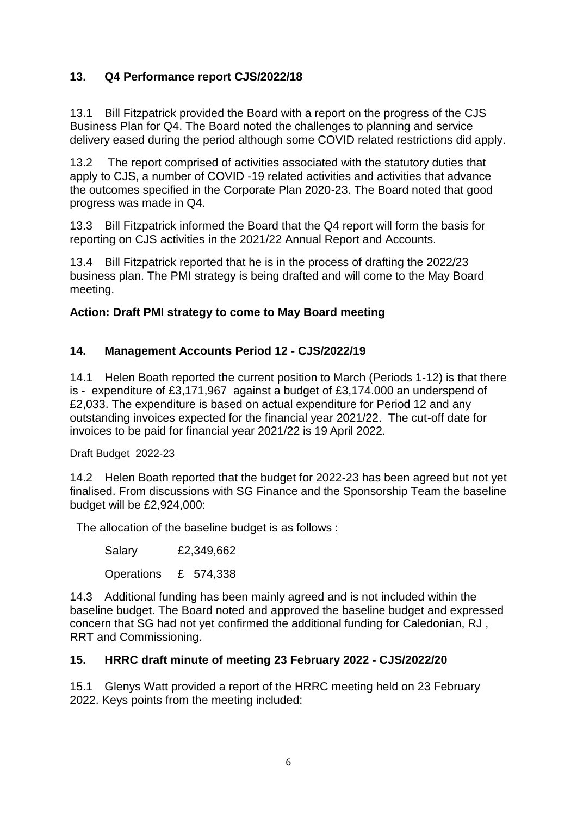# **13. Q4 Performance report CJS/2022/18**

13.1 Bill Fitzpatrick provided the Board with a report on the progress of the CJS Business Plan for Q4. The Board noted the challenges to planning and service delivery eased during the period although some COVID related restrictions did apply.

13.2 The report comprised of activities associated with the statutory duties that apply to CJS, a number of COVID -19 related activities and activities that advance the outcomes specified in the Corporate Plan 2020-23. The Board noted that good progress was made in Q4.

13.3 Bill Fitzpatrick informed the Board that the Q4 report will form the basis for reporting on CJS activities in the 2021/22 Annual Report and Accounts.

13.4 Bill Fitzpatrick reported that he is in the process of drafting the 2022/23 business plan. The PMI strategy is being drafted and will come to the May Board meeting.

#### **Action: Draft PMI strategy to come to May Board meeting**

# **14. Management Accounts Period 12 - CJS/2022/19**

14.1 Helen Boath reported the current position to March (Periods 1-12) is that there is - expenditure of £3,171,967 against a budget of £3,174.000 an underspend of £2,033. The expenditure is based on actual expenditure for Period 12 and any outstanding invoices expected for the financial year 2021/22. The cut-off date for invoices to be paid for financial year 2021/22 is 19 April 2022.

#### Draft Budget 2022-23

14.2 Helen Boath reported that the budget for 2022-23 has been agreed but not yet finalised. From discussions with SG Finance and the Sponsorship Team the baseline budget will be £2,924,000:

The allocation of the baseline budget is as follows :

Salary £2,349,662

Operations £ 574,338

14.3 Additional funding has been mainly agreed and is not included within the baseline budget. The Board noted and approved the baseline budget and expressed concern that SG had not yet confirmed the additional funding for Caledonian, RJ , RRT and Commissioning.

# **15. HRRC draft minute of meeting 23 February 2022 - CJS/2022/20**

15.1 Glenys Watt provided a report of the HRRC meeting held on 23 February 2022. Keys points from the meeting included: